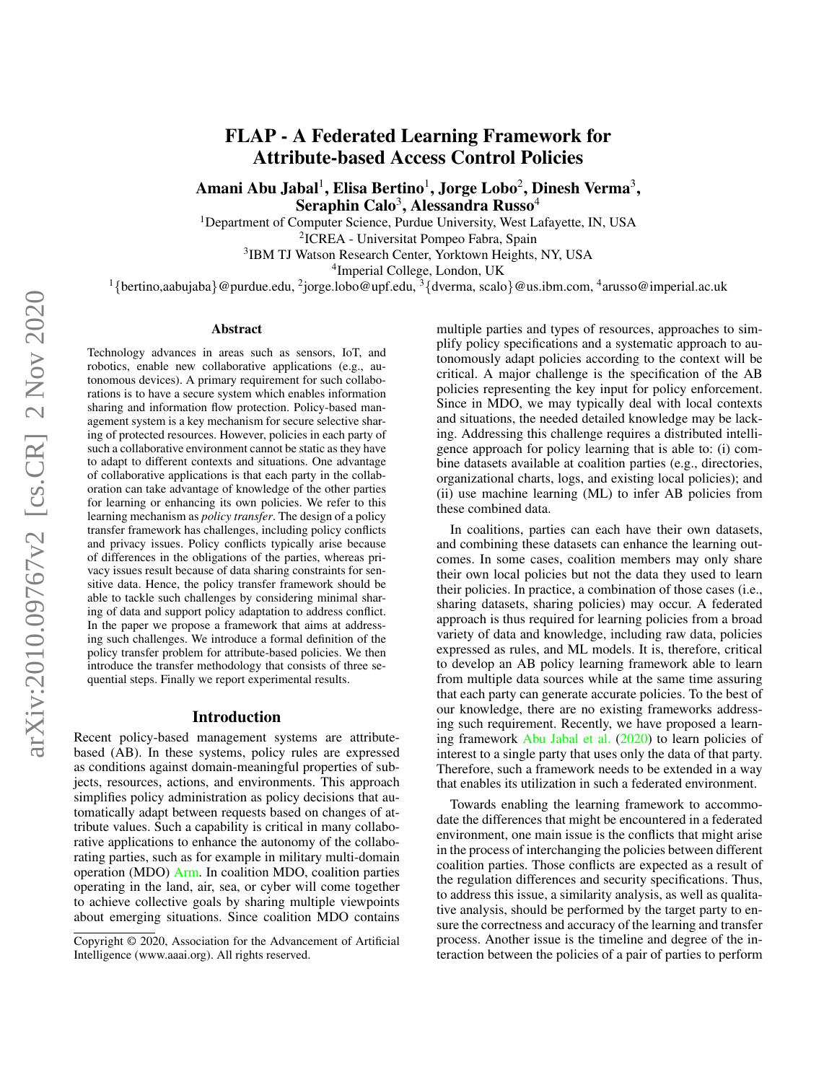# FLAP - A Federated Learning Framework for Attribute-based Access Control Policies

Amani Abu Jabal $^1$ , Elisa Bertino $^1$ , Jorge Lobo $^2$ , Dinesh Verma $^3,$ Seraphin Calo $^3,$  Alessandra Russo $^4$ 

<sup>1</sup>Department of Computer Science, Purdue University, West Lafayette, IN, USA

2 ICREA - Universitat Pompeo Fabra, Spain

3 IBM TJ Watson Research Center, Yorktown Heights, NY, USA

4 Imperial College, London, UK

 $1\{$ bertino,aabujaba}@purdue.edu, <sup>2</sup>jorge.lobo@upf.edu,  $3\{$ dverma, scalo}@us.ibm.com, <sup>4</sup>arusso@imperial.ac.uk

#### Abstract

Technology advances in areas such as sensors, IoT, and robotics, enable new collaborative applications (e.g., autonomous devices). A primary requirement for such collaborations is to have a secure system which enables information sharing and information flow protection. Policy-based management system is a key mechanism for secure selective sharing of protected resources. However, policies in each party of such a collaborative environment cannot be static as they have to adapt to different contexts and situations. One advantage of collaborative applications is that each party in the collaboration can take advantage of knowledge of the other parties for learning or enhancing its own policies. We refer to this learning mechanism as *policy transfer*. The design of a policy transfer framework has challenges, including policy conflicts and privacy issues. Policy conflicts typically arise because of differences in the obligations of the parties, whereas privacy issues result because of data sharing constraints for sensitive data. Hence, the policy transfer framework should be able to tackle such challenges by considering minimal sharing of data and support policy adaptation to address conflict. In the paper we propose a framework that aims at addressing such challenges. We introduce a formal definition of the policy transfer problem for attribute-based policies. We then introduce the transfer methodology that consists of three sequential steps. Finally we report experimental results.

#### Introduction

Recent policy-based management systems are attributebased (AB). In these systems, policy rules are expressed as conditions against domain-meaningful properties of subjects, resources, actions, and environments. This approach simplifies policy administration as policy decisions that automatically adapt between requests based on changes of attribute values. Such a capability is critical in many collaborative applications to enhance the autonomy of the collaborating parties, such as for example in military multi-domain operation (MDO) [Arm.](#page-8-0) In coalition MDO, coalition parties operating in the land, air, sea, or cyber will come together to achieve collective goals by sharing multiple viewpoints about emerging situations. Since coalition MDO contains multiple parties and types of resources, approaches to simplify policy specifications and a systematic approach to autonomously adapt policies according to the context will be critical. A major challenge is the specification of the AB policies representing the key input for policy enforcement. Since in MDO, we may typically deal with local contexts and situations, the needed detailed knowledge may be lacking. Addressing this challenge requires a distributed intelligence approach for policy learning that is able to: (i) combine datasets available at coalition parties (e.g., directories, organizational charts, logs, and existing local policies); and (ii) use machine learning (ML) to infer AB policies from these combined data.

In coalitions, parties can each have their own datasets, and combining these datasets can enhance the learning outcomes. In some cases, coalition members may only share their own local policies but not the data they used to learn their policies. In practice, a combination of those cases (i.e., sharing datasets, sharing policies) may occur. A federated approach is thus required for learning policies from a broad variety of data and knowledge, including raw data, policies expressed as rules, and ML models. It is, therefore, critical to develop an AB policy learning framework able to learn from multiple data sources while at the same time assuring that each party can generate accurate policies. To the best of our knowledge, there are no existing frameworks addressing such requirement. Recently, we have proposed a learning framework [Abu Jabal et al.](#page-8-1) [\(2020\)](#page-8-1) to learn policies of interest to a single party that uses only the data of that party. Therefore, such a framework needs to be extended in a way that enables its utilization in such a federated environment.

Towards enabling the learning framework to accommodate the differences that might be encountered in a federated environment, one main issue is the conflicts that might arise in the process of interchanging the policies between different coalition parties. Those conflicts are expected as a result of the regulation differences and security specifications. Thus, to address this issue, a similarity analysis, as well as qualitative analysis, should be performed by the target party to ensure the correctness and accuracy of the learning and transfer process. Another issue is the timeline and degree of the interaction between the policies of a pair of parties to perform

Copyright © 2020, Association for the Advancement of Artificial Intelligence (www.aaai.org). All rights reserved.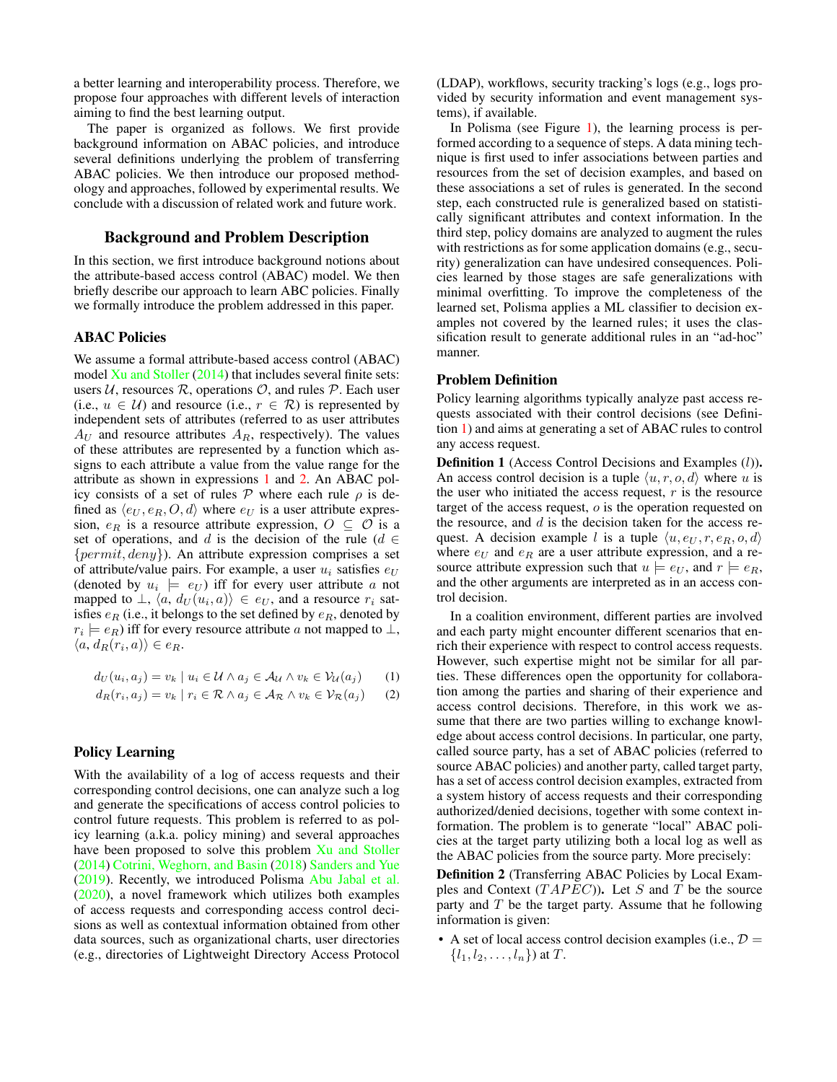a better learning and interoperability process. Therefore, we propose four approaches with different levels of interaction aiming to find the best learning output.

The paper is organized as follows. We first provide background information on ABAC policies, and introduce several definitions underlying the problem of transferring ABAC policies. We then introduce our proposed methodology and approaches, followed by experimental results. We conclude with a discussion of related work and future work.

### Background and Problem Description

In this section, we first introduce background notions about the attribute-based access control (ABAC) model. We then briefly describe our approach to learn ABC policies. Finally we formally introduce the problem addressed in this paper.

## ABAC Policies

We assume a formal attribute-based access control (ABAC) model [Xu and Stoller](#page-8-2) [\(2014\)](#page-8-2) that includes several finite sets: users  $U$ , resources  $R$ , operations  $O$ , and rules  $P$ . Each user (i.e.,  $u \in U$ ) and resource (i.e.,  $r \in \mathcal{R}$ ) is represented by independent sets of attributes (referred to as user attributes  $A_U$  and resource attributes  $A_R$ , respectively). The values of these attributes are represented by a function which assigns to each attribute a value from the value range for the attribute as shown in expressions [1](#page-1-0) and [2.](#page-1-1) An ABAC policy consists of a set of rules  $P$  where each rule  $\rho$  is defined as  $\langle e_U, e_R, O, d \rangle$  where  $e_U$  is a user attribute expression,  $e_R$  is a resource attribute expression,  $O \subseteq O$  is a set of operations, and d is the decision of the rule ( $d \in$  ${permit, deny}$ ). An attribute expression comprises a set of attribute/value pairs. For example, a user  $u_i$  satisfies  $e_U$ (denoted by  $u_i \models e_U$ ) iff for every user attribute a not mapped to  $\bot$ ,  $\langle a, d_U(u_i, a) \rangle \in e_U$ , and a resource  $r_i$  satisfies  $e_R$  (i.e., it belongs to the set defined by  $e_R$ , denoted by  $r_i \models e_R$ ) iff for every resource attribute a not mapped to  $\bot$ ,  $\langle a, d_R(r_i, a) \rangle \in e_R.$ 

$$
d_U(u_i, a_j) = v_k \mid u_i \in \mathcal{U} \land a_j \in \mathcal{A}_{\mathcal{U}} \land v_k \in \mathcal{V}_{\mathcal{U}}(a_j) \qquad (1)
$$

$$
d_R(r_i, a_j) = v_k | r_i \in \mathcal{R} \land a_j \in \mathcal{A}_{\mathcal{R}} \land v_k \in \mathcal{V}_{\mathcal{R}}(a_j)
$$
 (2)

## Policy Learning

With the availability of a log of access requests and their corresponding control decisions, one can analyze such a log and generate the specifications of access control policies to control future requests. This problem is referred to as policy learning (a.k.a. policy mining) and several approaches have been proposed to solve this problem [Xu and Stoller](#page-8-2) [\(2014\)](#page-8-2) [Cotrini, Weghorn, and Basin](#page-8-3) [\(2018\)](#page-8-3) [Sanders and Yue](#page-8-4) [\(2019\)](#page-8-4). Recently, we introduced Polisma [Abu Jabal et al.](#page-8-1) [\(2020\)](#page-8-1), a novel framework which utilizes both examples of access requests and corresponding access control decisions as well as contextual information obtained from other data sources, such as organizational charts, user directories (e.g., directories of Lightweight Directory Access Protocol

(LDAP), workflows, security tracking's logs (e.g., logs provided by security information and event management systems), if available.

In Polisma (see Figure [1\)](#page-2-0), the learning process is performed according to a sequence of steps. A data mining technique is first used to infer associations between parties and resources from the set of decision examples, and based on these associations a set of rules is generated. In the second step, each constructed rule is generalized based on statistically significant attributes and context information. In the third step, policy domains are analyzed to augment the rules with restrictions as for some application domains (e.g., security) generalization can have undesired consequences. Policies learned by those stages are safe generalizations with minimal overfitting. To improve the completeness of the learned set, Polisma applies a ML classifier to decision examples not covered by the learned rules; it uses the classification result to generate additional rules in an "ad-hoc" manner.

#### Problem Definition

Policy learning algorithms typically analyze past access requests associated with their control decisions (see Definition [1\)](#page-1-2) and aims at generating a set of ABAC rules to control any access request.

<span id="page-1-2"></span>**Definition 1** (Access Control Decisions and Examples (l)). An access control decision is a tuple  $\langle u, r, o, d \rangle$  where u is the user who initiated the access request,  $r$  is the resource target of the access request, o is the operation requested on the resource, and  $d$  is the decision taken for the access request. A decision example l is a tuple  $\langle u, e_U, r, e_R, o, d \rangle$ where  $e_U$  and  $e_R$  are a user attribute expression, and a resource attribute expression such that  $u \models e_U$ , and  $r \models e_R$ , and the other arguments are interpreted as in an access control decision.

<span id="page-1-1"></span><span id="page-1-0"></span>In a coalition environment, different parties are involved and each party might encounter different scenarios that enrich their experience with respect to control access requests. However, such expertise might not be similar for all parties. These differences open the opportunity for collaboration among the parties and sharing of their experience and access control decisions. Therefore, in this work we assume that there are two parties willing to exchange knowledge about access control decisions. In particular, one party, called source party, has a set of ABAC policies (referred to source ABAC policies) and another party, called target party, has a set of access control decision examples, extracted from a system history of access requests and their corresponding authorized/denied decisions, together with some context information. The problem is to generate "local" ABAC policies at the target party utilizing both a local log as well as the ABAC policies from the source party. More precisely:

Definition 2 (Transferring ABAC Policies by Local Examples and Context  $(TAPEC)$ ). Let S and T be the source party and  $T$  be the target party. Assume that he following information is given:

• A set of local access control decision examples (i.e.,  $\mathcal{D} =$  ${l_1, l_2, \ldots, l_n}$  at T.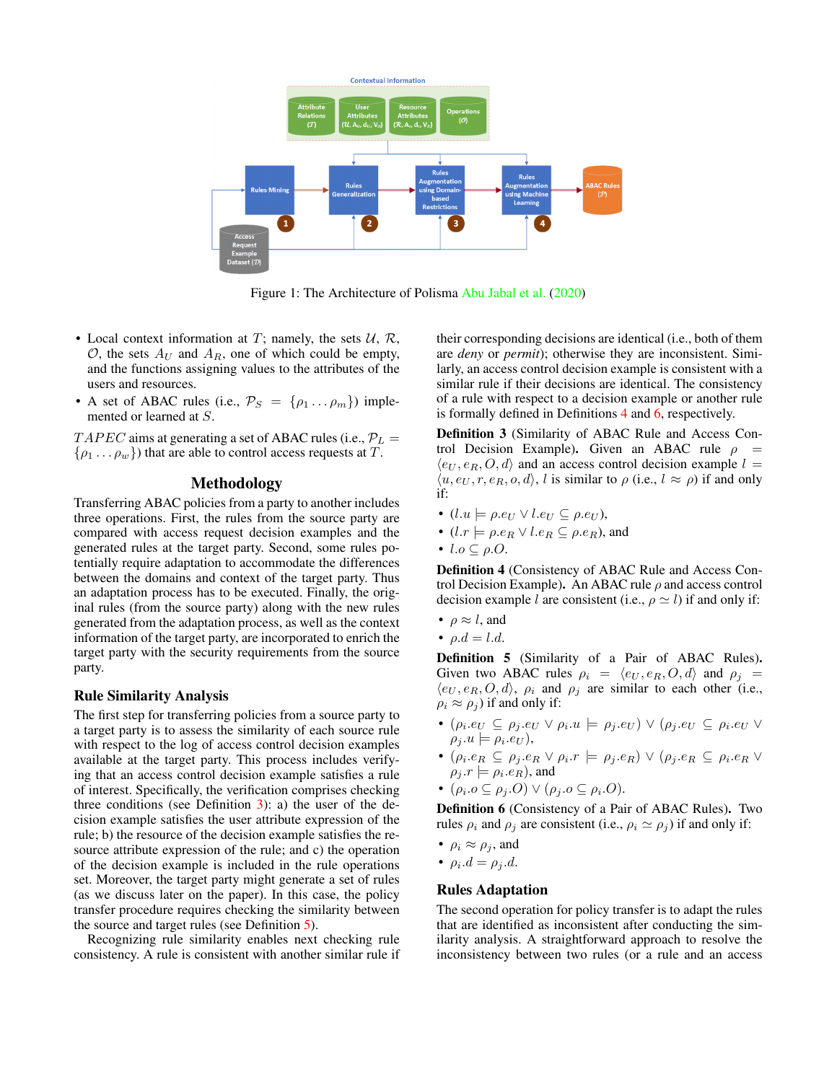<span id="page-2-0"></span>

Figure 1: The Architecture of Polisma [Abu Jabal et al.](#page-8-1) [\(2020\)](#page-8-1)

- Local context information at T; namely, the sets  $U, R$ ,  $\mathcal{O}$ , the sets  $A_U$  and  $A_R$ , one of which could be empty, and the functions assigning values to the attributes of the users and resources.
- A set of ABAC rules (i.e.,  $\mathcal{P}_S = \{\rho_1 \dots \rho_m\}$ ) implemented or learned at S.

 $TAPEC$  aims at generating a set of ABAC rules (i.e.,  $P_L =$  $\{\rho_1 \dots \rho_w\}$  that are able to control access requests at T.

## Methodology

Transferring ABAC policies from a party to another includes three operations. First, the rules from the source party are compared with access request decision examples and the generated rules at the target party. Second, some rules potentially require adaptation to accommodate the differences between the domains and context of the target party. Thus an adaptation process has to be executed. Finally, the original rules (from the source party) along with the new rules generated from the adaptation process, as well as the context information of the target party, are incorporated to enrich the target party with the security requirements from the source party.

#### Rule Similarity Analysis

The first step for transferring policies from a source party to a target party is to assess the similarity of each source rule with respect to the log of access control decision examples available at the target party. This process includes verifying that an access control decision example satisfies a rule of interest. Specifically, the verification comprises checking three conditions (see Definition  $3$ ): a) the user of the decision example satisfies the user attribute expression of the rule; b) the resource of the decision example satisfies the resource attribute expression of the rule; and c) the operation of the decision example is included in the rule operations set. Moreover, the target party might generate a set of rules (as we discuss later on the paper). In this case, the policy transfer procedure requires checking the similarity between the source and target rules (see Definition [5\)](#page-2-2).

Recognizing rule similarity enables next checking rule consistency. A rule is consistent with another similar rule if

their corresponding decisions are identical (i.e., both of them are *deny* or *permit*); otherwise they are inconsistent. Similarly, an access control decision example is consistent with a similar rule if their decisions are identical. The consistency of a rule with respect to a decision example or another rule is formally defined in Definitions [4](#page-2-3) and [6,](#page-2-4) respectively.

<span id="page-2-1"></span>Definition 3 (Similarity of ABAC Rule and Access Control Decision Example). Given an ABAC rule  $\rho =$  $\langle e_U, e_R, O, d \rangle$  and an access control decision example  $l =$  $\langle u, e_U, r, e_R, o, d \rangle$ , l is similar to  $\rho$  (i.e.,  $l \approx \rho$ ) if and only if:

- $(l.u \models \rho.e_U \lor l.e_U \subseteq \rho.e_U),$
- $(l.r \models \rho.e_R \lor l.e_R \subseteq \rho.e_R)$ , and
- $l.o \subseteq \rho.O.$

<span id="page-2-3"></span>Definition 4 (Consistency of ABAC Rule and Access Control Decision Example). An ABAC rule  $\rho$  and access control decision example l are consistent (i.e.,  $\rho \simeq l$ ) if and only if:

- $\rho \approx l$ , and
- $\rho.d = l.d.$

<span id="page-2-2"></span>Definition 5 (Similarity of a Pair of ABAC Rules). Given two ABAC rules  $\rho_i = \langle e_U, e_R, O, d \rangle$  and  $\rho_j =$  $\langle e_U, e_R, O, d \rangle$ ,  $\rho_i$  and  $\rho_j$  are similar to each other (i.e.,  $\rho_i \approx \rho_i$ ) if and only if:

- $\bullet$  ( $\rho_i.e_U \subseteq \rho_j.e_U \vee \rho_i.u \models \rho_j.e_U) \vee (\rho_j.e_U \subseteq \rho_i.e_U \vee \rho_j.u)$  $\rho_j.u \models \rho_i.e_U$ ),
- $\bullet$  ( $\rho_i.e_R \subseteq \rho_j.e_R \vee \rho_i.r \models \rho_j.e_R) \vee (\rho_j.e_R \subseteq \rho_i.e_R \vee \rho_j.e_R)$  $\rho_j.r \models \rho_i.e_R$ ), and
- $(\rho_i.o \subseteq \rho_j.O) \vee (\rho_j.o \subseteq \rho_i.O).$

<span id="page-2-4"></span>Definition 6 (Consistency of a Pair of ABAC Rules). Two rules  $\rho_i$  and  $\rho_j$  are consistent (i.e.,  $\rho_i \simeq \rho_j$ ) if and only if:

- $\rho_i \approx \rho_j$ , and
- $\rho_i.d = \rho_j.d.$

## Rules Adaptation

The second operation for policy transfer is to adapt the rules that are identified as inconsistent after conducting the similarity analysis. A straightforward approach to resolve the inconsistency between two rules (or a rule and an access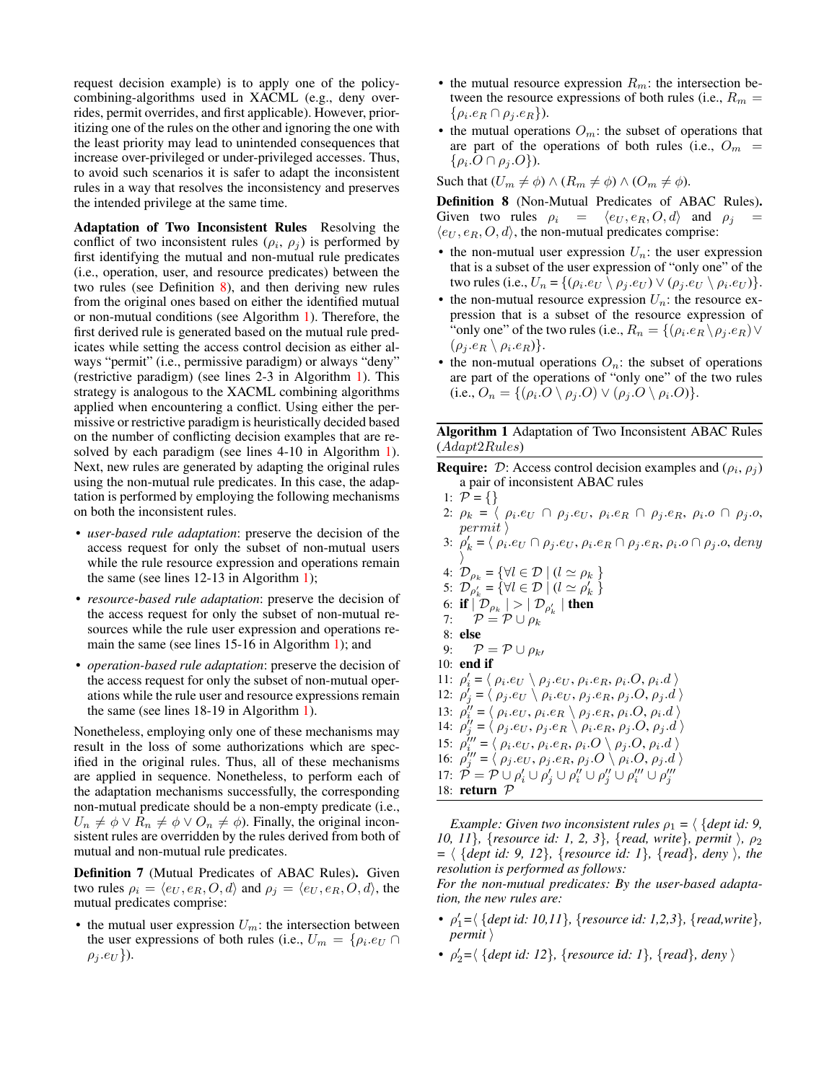request decision example) is to apply one of the policycombining-algorithms used in XACML (e.g., deny overrides, permit overrides, and first applicable). However, prioritizing one of the rules on the other and ignoring the one with the least priority may lead to unintended consequences that increase over-privileged or under-privileged accesses. Thus, to avoid such scenarios it is safer to adapt the inconsistent rules in a way that resolves the inconsistency and preserves the intended privilege at the same time.

Adaptation of Two Inconsistent Rules Resolving the conflict of two inconsistent rules  $(\rho_i, \rho_j)$  is performed by first identifying the mutual and non-mutual rule predicates (i.e., operation, user, and resource predicates) between the two rules (see Definition [8\)](#page-3-0), and then deriving new rules from the original ones based on either the identified mutual or non-mutual conditions (see Algorithm [1\)](#page-3-1). Therefore, the first derived rule is generated based on the mutual rule predicates while setting the access control decision as either always "permit" (i.e., permissive paradigm) or always "deny" (restrictive paradigm) (see lines 2-3 in Algorithm [1\)](#page-3-1). This strategy is analogous to the XACML combining algorithms applied when encountering a conflict. Using either the permissive or restrictive paradigm is heuristically decided based on the number of conflicting decision examples that are resolved by each paradigm (see lines 4-10 in Algorithm [1\)](#page-3-1). Next, new rules are generated by adapting the original rules using the non-mutual rule predicates. In this case, the adaptation is performed by employing the following mechanisms on both the inconsistent rules.

- *user-based rule adaptation*: preserve the decision of the access request for only the subset of non-mutual users while the rule resource expression and operations remain the same (see lines 12-13 in Algorithm [1\)](#page-3-1);
- *resource-based rule adaptation*: preserve the decision of the access request for only the subset of non-mutual resources while the rule user expression and operations remain the same (see lines 15-16 in Algorithm [1\)](#page-3-1); and
- *operation-based rule adaptation*: preserve the decision of the access request for only the subset of non-mutual operations while the rule user and resource expressions remain the same (see lines 18-19 in Algorithm [1\)](#page-3-1).

Nonetheless, employing only one of these mechanisms may result in the loss of some authorizations which are specified in the original rules. Thus, all of these mechanisms are applied in sequence. Nonetheless, to perform each of the adaptation mechanisms successfully, the corresponding non-mutual predicate should be a non-empty predicate (i.e.,  $U_n \neq \phi \vee R_n \neq \phi \vee O_n \neq \phi$ ). Finally, the original inconsistent rules are overridden by the rules derived from both of mutual and non-mutual rule predicates.

Definition 7 (Mutual Predicates of ABAC Rules). Given two rules  $\rho_i = \langle e_U, e_R, O, d \rangle$  and  $\rho_j = \langle e_U, e_R, O, d \rangle$ , the mutual predicates comprise:

• the mutual user expression  $U_m$ : the intersection between the user expressions of both rules (i.e.,  $U_m = \{ \rho_i . e_U \cap$  $\rho_i.e_U\}$ ).

- the mutual resource expression  $R_m$ : the intersection between the resource expressions of both rules (i.e.,  $R_m =$  $\{\rho_i.e_R \cap \rho_j.e_R\}.$
- the mutual operations  $O_m$ : the subset of operations that are part of the operations of both rules (i.e.,  $O_m$  =  $\{\rho_i.O\cap\rho_j.O\}.$

Such that  $(U_m \neq \phi) \wedge (R_m \neq \phi) \wedge (O_m \neq \phi)$ .

<span id="page-3-0"></span>Definition 8 (Non-Mutual Predicates of ABAC Rules). Given two rules  $\rho_i = \langle e_U, e_R, O, d \rangle$  and  $\rho_j$  $\langle e_U, e_R, O, d \rangle$ , the non-mutual predicates comprise:

- the non-mutual user expression  $U_n$ : the user expression that is a subset of the user expression of "only one" of the two rules (i.e.,  $U_n = \{(\rho_i.e_U \setminus \rho_j.e_U) \vee (\rho_j.e_U \setminus \rho_i.e_U)\}.$
- the non-mutual resource expression  $U_n$ : the resource expression that is a subset of the resource expression of "only one" of the two rules (i.e.,  $R_n = \{(\rho_i.e_R \setminus \rho_j.e_R) \vee \}$  $(\rho_j.e_R \setminus \rho_i.e_R)\}.$
- the non-mutual operations  $O_n$ : the subset of operations are part of the operations of "only one" of the two rules (i.e.,  $O_n = \{(\rho_i.O \setminus \rho_j.O) \vee (\rho_j.O \setminus \rho_i.O)\}.$

<span id="page-3-1"></span>Algorithm 1 Adaptation of Two Inconsistent ABAC Rules (Adapt2Rules)

- **Require:**  $\mathcal{D}$ : Access control decision examples and  $(\rho_i, \rho_j)$ a pair of inconsistent ABAC rules
- 1:  $P = \{\}$
- 2:  $\rho_k = \langle \rho_i.e_U \cap \rho_j.e_U, \rho_i.e_R \cap \rho_j.e_R, \rho_i.o \cap \rho_j.o$  $\vert permit \, \rangle$
- 3:  $\rho'_{k} = \langle \rho_i.e_U \cap \rho_j.e_U, \rho_i.e_R \cap \rho_j.e_R, \rho_i.o \cap \rho_j.o., \text{deny} \rangle$  $\rangle$
- 4:  $\mathcal{D}_{\rho_k} = \{ \forall l \in \mathcal{D} \mid (l \simeq \rho_k \}$ 5:  $\mathcal{D}_{\rho'_{k}} = \{ \forall l \in \mathcal{D} \mid (l \simeq \rho'_{k}) \}$ 6: if  $|\mathcal{D}_{\rho_k}| > |\mathcal{D}_{\rho_k'}|$  then 7:  $\mathcal{P} = \mathcal{P} \cup \rho_k$ 8: else 9:  $\mathcal{P} = \mathcal{P} \cup \rho_{k}$ 10: end if 11:  $\rho_i' = \langle \rho_i.e_U \setminus \rho_j.e_U, \rho_i.e_R, \rho_i.O, \rho_i.d \rangle$ 12:  $\rho_j' = \langle \rho_j.e_U \setminus \rho_i.e_U, \rho_j.e_R, \rho_j.O, \rho_j.d \rangle$ 13:  $\rho_i'' = \langle \rho_i.e_U, \rho_i.e_R \setminus \rho_j.e_R, \rho_i.O, \rho_i.d \rangle$ 14:  $\rho''_j = \langle \rho_j.e_U, \rho_j.e_R \setminus \rho_i.e_R, \rho_j.O, \rho_j.d \rangle$ 15:  $\rho_i^{\prime\prime\prime} = \langle \rho_i.e_U, \rho_i.e_R, \rho_i.O \setminus \rho_j.O, \rho_i.d \rangle$ 16:  $\rho''_j = \langle \rho_j.e_U, \rho_j.e_R, \rho_j.O \setminus \rho_i.O, \rho_j.d \rangle$ 17:  $\mathcal{\tilde{P}} = \mathcal{P} \cup \rho_i' \cup \rho_j'' \cup \rho_i'' \cup \rho_j''' \cup \rho_j'''$ 18: return P

*Example: Given two inconsistent rules*  $\rho_1 = \langle \{ \text{dept} \text{ id: } 9, \} \rangle$ *10, 11*}*,* {*resource id: 1, 2, 3*}*,* {*read, write*}*, permit },*  $\rho_2$  $= \langle \{ \text{dept id: 9, 12} \}, \{ \text{resource id: 1} \}, \{ \text{read} \}, \text{ deny } \rangle$ *, the resolution is performed as follows:*

*For the non-mutual predicates: By the user-based adaptation, the new rules are:*

- $\rho'_1 = \langle \{ \text{dept id: } 10, 11 \}, \{ \text{resource id: } 1, 2, 3 \}, \{ \text{read}, \text{write} \}, \}$  $permit$
- $\rho'_2 = \langle \{ \text{dept id: } 12 \}, \{ \text{resource id: } 1 \}, \{ \text{read} \}, \text{ deny } \rangle$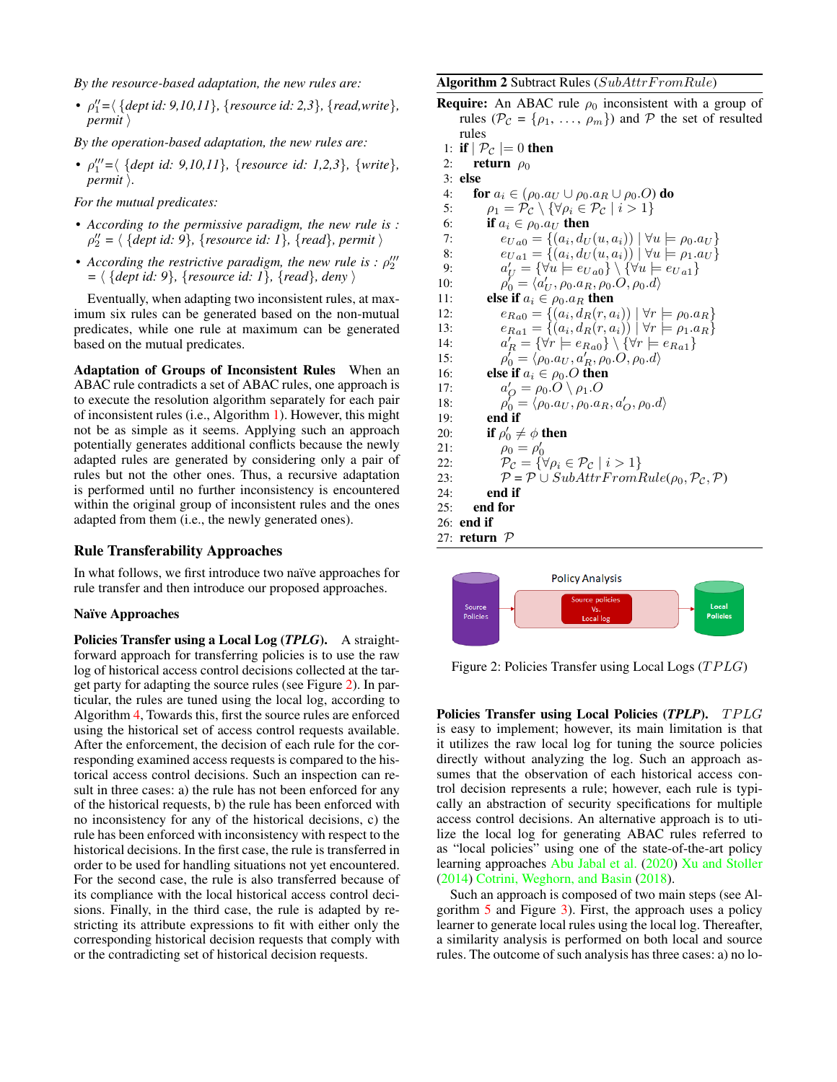*By the resource-based adaptation, the new rules are:*

•  $\rho''_1 = \langle \{ \text{depth } 9, 10, 11 \}, \{ \text{resource } id: 2, 3 \}, \{ \text{read}, \text{write} \}, \}$  $permit$   $\rangle$ 

*By the operation-based adaptation, the new rules are:*

•  $\rho''_1 = \langle \{ \text{dept id: 9,10,11} \}, \{ \text{resource id: 1,2,3} \}, \{ \text{write} \},$ *permit*  $\lambda$ *.* 

*For the mutual predicates:*

- *According to the permissive paradigm, the new rule is :*  $\rho''_2$  =  $\langle$  {*dept id: 9*}*,* {*resource id: 1*}*,* {*read*}*, permit*  $\rangle$
- According the restrictive paradigm, the new rule is :  $\rho_2^{\prime\prime\prime}$  $= \langle \{ \text{dept id: } 9 \}, \{ \text{resource id: } 1 \}, \{ \text{read} \}, \text{ deny} \rangle$

Eventually, when adapting two inconsistent rules, at maximum six rules can be generated based on the non-mutual predicates, while one rule at maximum can be generated based on the mutual predicates.

Adaptation of Groups of Inconsistent Rules When an ABAC rule contradicts a set of ABAC rules, one approach is to execute the resolution algorithm separately for each pair of inconsistent rules (i.e., Algorithm [1\)](#page-3-1). However, this might not be as simple as it seems. Applying such an approach potentially generates additional conflicts because the newly adapted rules are generated by considering only a pair of rules but not the other ones. Thus, a recursive adaptation is performed until no further inconsistency is encountered within the original group of inconsistent rules and the ones adapted from them (i.e., the newly generated ones).

#### Rule Transferability Approaches

In what follows, we first introduce two naïve approaches for rule transfer and then introduce our proposed approaches.

#### Naïve Approaches

Policies Transfer using a Local Log (*TPLG*). A straightforward approach for transferring policies is to use the raw log of historical access control decisions collected at the target party for adapting the source rules (see Figure [2\)](#page-4-0). In particular, the rules are tuned using the local log, according to Algorithm [4,](#page-5-0) Towards this, first the source rules are enforced using the historical set of access control requests available. After the enforcement, the decision of each rule for the corresponding examined access requests is compared to the historical access control decisions. Such an inspection can result in three cases: a) the rule has not been enforced for any of the historical requests, b) the rule has been enforced with no inconsistency for any of the historical decisions, c) the rule has been enforced with inconsistency with respect to the historical decisions. In the first case, the rule is transferred in order to be used for handling situations not yet encountered. For the second case, the rule is also transferred because of its compliance with the local historical access control decisions. Finally, in the third case, the rule is adapted by restricting its attribute expressions to fit with either only the corresponding historical decision requests that comply with or the contradicting set of historical decision requests.

Algorithm 2 Subtract Rules  $(SubAttrFromRule)$ 

| <b>Require:</b> An ABAC rule $\rho_0$ inconsistent with a group of                                                 |
|--------------------------------------------------------------------------------------------------------------------|
| rules ( $\mathcal{P}_{\mathcal{C}} = {\rho_1, \ldots, \rho_m}$ ) and $\mathcal{P}$ the set of resulted             |
| rules                                                                                                              |
| 1: if $\vert \mathcal{P}_{\mathcal{C}} \vert = 0$ then                                                             |
| 2:<br>return $\rho_0$                                                                                              |
| $3:$ else                                                                                                          |
| 4:<br>for $a_i \in (\rho_0.a_U \cup \rho_0.a_R \cup \rho_0.O)$ do                                                  |
| $\rho_1 = \mathcal{P}_{\mathcal{C}} \setminus \{ \forall \rho_i \in \mathcal{P}_{\mathcal{C}} \mid i > 1 \}$<br>5: |
| 6:<br>if $a_i \in \rho_0.a_{II}$ then                                                                              |
| $e_{Ua0} = \{(a_i, d_U(u, a_i)) \mid \forall u \models \rho_0.a_U\}$<br>7:                                         |
| $e_{Ua1} = \{(a_i, d_U(u, a_i)) \mid \forall u \models \rho_1.a_U\}$<br>8:                                         |
| $a'_U = {\forall u \models e_{Ua0}} \setminus {\forall u \models e_{Ua1}}$<br>9:                                   |
| $\rho'_0 = \langle a'_{II}, \rho_0.a_R, \rho_0.O, \rho_0.d \rangle$<br>10:                                         |
| else if $a_i \in \rho_0.a_R$ then<br>11:                                                                           |
| $e_{Ra0} = \{(a_i, d_R(r, a_i)) \mid \forall r \models \rho_0.a_R\}$<br>12:                                        |
| $e_{Ra1} = \{ (a_i, d_R(r, a_i)) \mid \forall r \models \rho_1.a_R \}$<br>13:                                      |
| $a'_R = \{ \forall r \models e_{Ra0} \} \setminus \{ \forall r \models e_{Ra1} \}$<br>14:                          |
| $\rho'_0 = \langle \rho_0.a_U, a'_B, \rho_0.O, \rho_0.d \rangle$<br>15:                                            |
| else if $a_i \in \rho_0$ . O then<br>16:                                                                           |
| $a'_O = \rho_0.O \setminus \rho_1.O$<br>17:                                                                        |
| $\rho'_0 = \langle \rho_0.a_U, \rho_0.a_R, a'_O, \rho_0.d \rangle$<br>18:                                          |
| end if<br>19:                                                                                                      |
| if $\rho'_0 \neq \phi$ then<br>20:                                                                                 |
| $\rho_0 = \rho'_0$<br>21:                                                                                          |
| $\mathcal{P}_{\mathcal{C}} = \{ \forall \rho_i \in \mathcal{P}_{\mathcal{C}} \mid i > 1 \}$<br>22:                 |
| $P = P \cup SubAttrFromRule(\rho_0, P_c, P)$<br>23:                                                                |
| end if<br>24:                                                                                                      |
| end for<br>25:                                                                                                     |
| end if<br>26:                                                                                                      |
| 27: return $P$                                                                                                     |

<span id="page-4-0"></span>

Figure 2: Policies Transfer using Local Logs  $(TPLG)$ 

Policies Transfer using Local Policies (*TPLP*). TPLG is easy to implement; however, its main limitation is that it utilizes the raw local log for tuning the source policies directly without analyzing the log. Such an approach assumes that the observation of each historical access control decision represents a rule; however, each rule is typically an abstraction of security specifications for multiple access control decisions. An alternative approach is to utilize the local log for generating ABAC rules referred to as "local policies" using one of the state-of-the-art policy learning approaches [Abu Jabal et al.](#page-8-1) [\(2020\)](#page-8-1) [Xu and Stoller](#page-8-2) [\(2014\)](#page-8-2) [Cotrini, Weghorn, and Basin](#page-8-3) [\(2018\)](#page-8-3).

Such an approach is composed of two main steps (see Algorithm [5](#page-5-1) and Figure [3\)](#page-5-2). First, the approach uses a policy learner to generate local rules using the local log. Thereafter, a similarity analysis is performed on both local and source rules. The outcome of such analysis has three cases: a) no lo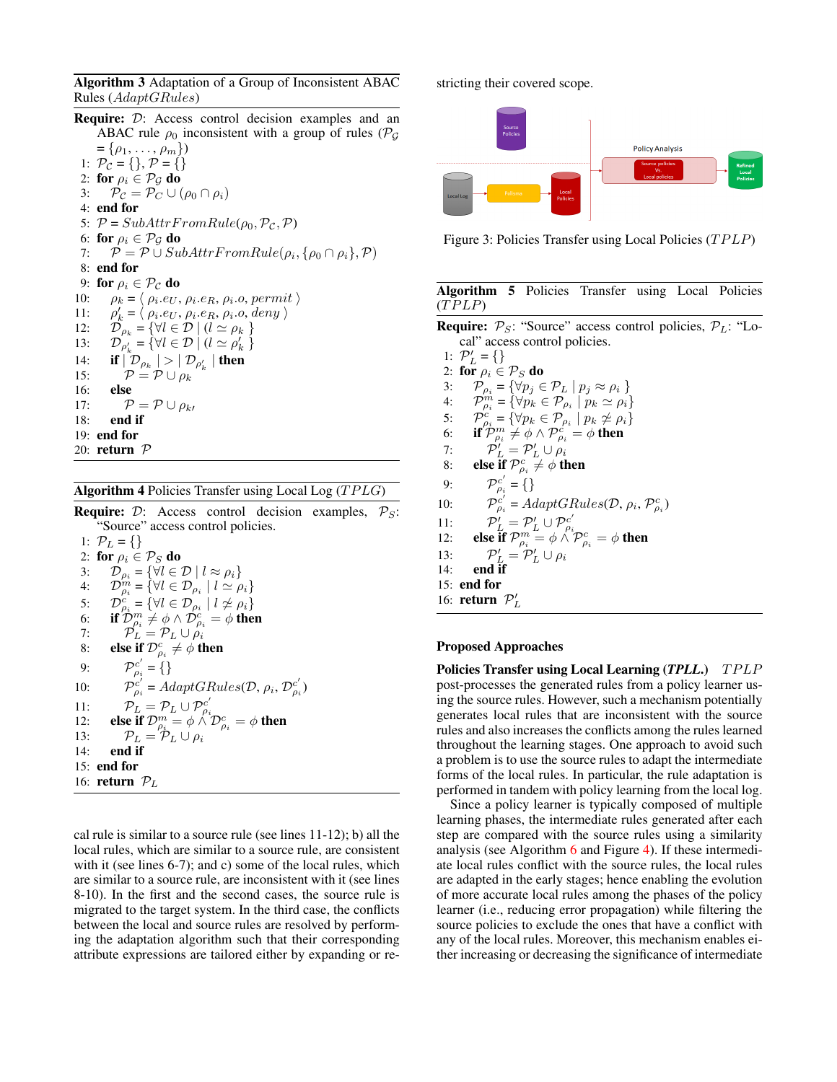Algorithm 3 Adaptation of a Group of Inconsistent ABAC Rules (AdaptGRules)

Require: D: Access control decision examples and an ABAC rule  $\rho_0$  inconsistent with a group of rules ( $\mathcal{P}_G$ )  $= {\rho_1, \ldots, \rho_m}$ 1:  $P_{\mathcal{C}} = \{\}, \mathcal{P} = \{\}$ 2: for  $\rho_i \in \mathcal{P}_{\mathcal{G}}$  do 3:  $\mathcal{P}_{\mathcal{C}} = \mathcal{P}_{C} \cup (\rho_0 \cap \rho_i)$ 4: end for 5:  $P = SubAttrFromRule(\rho_0, P_c, P)$ 6: for  $\rho_i \in \mathcal{P}_{\mathcal{G}}$  do 7:  $\mathcal{P} = \mathcal{P} \cup SubAttrFromRule(\rho_i, \{\rho_0 \cap \rho_i\}, \mathcal{P})$ 8: end for 9: for  $\rho_i \in \mathcal{P}_\mathcal{C}$  do 10:  $\rho_k = \langle \rho_i.e_U, \rho_i.e_R, \rho_i.o, permit \rangle$  $11:$  $\mathcal{L}_k = \langle \rho_i.e_U, \rho_i.e_R, \rho_i.o, \text{deny} \rangle$ 12:  $\mathcal{D}_{\rho_k} = \{ \forall l \in \mathcal{D} \mid (l \simeq \rho_k \}$ <br>13:  $\mathcal{D}_{\rho'} = \{ \forall l \in \mathcal{D} \mid (l \simeq \rho'_k \}$ 13:  $\mathcal{D}_{\rho'_{k}} = \{ \forall l \in \mathcal{D} \mid (l \simeq \rho'_{k}) \}$ 14: **if**  $\left| \mathcal{D}_{\rho_k} \right| > \left| \mathcal{D}_{\rho'_k} \right|$  then 15:  $\mathcal{P} = \mathcal{P} \cup \rho_k$ 16: else 17:  $\mathcal{P} = \mathcal{P} \cup \rho_{k}$ 18: end if 19: end for 20: return  $P$ 

<span id="page-5-0"></span>Algorithm 4 Policies Transfer using Local Log  $(TPLG)$ 

**Require:**  $D$ : Access control decision examples,  $P_S$ : "Source" access control policies. 1:  $\mathcal{P}_L = \{\}$ 2: for  $\rho_i \in \mathcal{P}_S$  do<br>3:  $\mathcal{D}_{\rho_i} = \{ \forall l \in \mathcal{I}$ 3:  $\mathcal{D}_{\rho_i} = \{ \forall l \in \mathcal{D} \mid l \approx \rho_i \}$ <br>4:  $\mathcal{D}_{\rho_i}^{m} = \{ \forall l \in \mathcal{D}_{\rho_i} \mid l \simeq \rho_i \}$ 4:  $\mathcal{D}_{\rho_i}^{m} = \{ \forall l \in \mathcal{D}_{\rho_i} \mid l \simeq \rho_i \}$ 5:  $\mathcal{D}_{\rho_i}^c = \{ \forall l \in \mathcal{D}_{\rho_i} \mid l \not\simeq \rho_i \}$ 6: if  $\mathcal{D}_{\rho_i}^m \neq \phi \wedge \mathcal{D}_{\rho_i}^c = \phi$  then 7:  $\mathcal{P}_L = \mathcal{P}_L \cup \rho_i$ 8: else if  ${\mathcal D}^c_{\rho_i}\neq \phi$  then 9:  $\mathcal{P}_{\rho_i}^{c'} = \{\}$ 10:  $\mathcal{P}_{\rho_i}^{c'} = AdaptGRules(\mathcal{D}, \rho_i, \mathcal{D}_{\rho_i}^{c'})$ 11:  $\mathcal{P}_L = \mathcal{P}_L \cup \mathcal{P}_{\rho_i}^{c'}$ <br>
12: **else if**  $\mathcal{D}_{\rho_i}^m = \phi \wedge \mathcal{D}_{\rho_i}^c = \phi$  then 13:  $\mathcal{P}_L = \mathcal{P}_L \cup \rho_i$ 14: end if 15: end for 16: **return**  $P_L$ 

cal rule is similar to a source rule (see lines 11-12); b) all the local rules, which are similar to a source rule, are consistent with it (see lines 6-7); and c) some of the local rules, which are similar to a source rule, are inconsistent with it (see lines 8-10). In the first and the second cases, the source rule is migrated to the target system. In the third case, the conflicts between the local and source rules are resolved by performing the adaptation algorithm such that their corresponding attribute expressions are tailored either by expanding or restricting their covered scope.

<span id="page-5-2"></span>

Figure 3: Policies Transfer using Local Policies  $(TPLP)$ 

<span id="page-5-1"></span>

| Algorithm 5 Policies Transfer using Local Policies |  |  |  |
|----------------------------------------------------|--|--|--|
| (TPLP)                                             |  |  |  |

**Require:**  $P_S$ : "Source" access control policies,  $P_L$ : "Local" access control policies.

1:  $P'_{L} = \{\}$ 2: for  $\rho_i \in \mathcal{P}_S$  do 3:  $\mathcal{P}_{\rho_i} = {\forall p_j \in \mathcal{P}_L | p_j \approx \rho_i}$ <br>4:  $\mathcal{P}_{\rho_i}^m = {\forall p_k \in \mathcal{P}_{\rho_i} | p_k \simeq \rho_i}$ 4:  $\mathcal{P}_{\rho_i}^m = \{ \forall p_k \in \mathcal{P}_{\rho_i} \mid p_k \simeq \rho_i \}$ 5:  $\mathcal{P}_{\rho_i}^c = \{ \forall p_k \in \mathcal{P}_{\rho_i} \mid p_k \not\simeq \rho_i \}$ 6: **if**  $\mathcal{P}_{\rho_i}^m \neq \phi \wedge \mathcal{P}_{\rho_i}^c = \phi$  then 7:  $\mathcal{P}'_L = \mathcal{P}'_L \cup \rho_i$ 8: else if  $\mathcal{P}^c_{\rho_i} \neq \phi$  then 9:  $\mathcal{P}_{\rho_i}^{c'} = \{\}$  $10:$  $\hat{p}_i^{c'} = AdaptGRules(\mathcal{D}, \rho_i, \mathcal{P}_{\rho_i}^c)$ 11:  $\mathcal{P}'_L = \mathcal{P}'_L \cup \mathcal{P}^{c'}_{\rho_i}$ <br>12: **else if**  $\mathcal{P}^m_{\rho_i} = \phi \wedge \mathcal{P}^c_{\rho_i} = \phi$  then 13:  $\mathcal{P}'_L = \mathcal{P}'_L \cup \rho_i$ 14: end if 15: end for 16: **return**  $\mathcal{P}'_L$ 

#### Proposed Approaches

Policies Transfer using Local Learning (*TPLL*.) TPLP post-processes the generated rules from a policy learner using the source rules. However, such a mechanism potentially generates local rules that are inconsistent with the source rules and also increases the conflicts among the rules learned throughout the learning stages. One approach to avoid such a problem is to use the source rules to adapt the intermediate forms of the local rules. In particular, the rule adaptation is performed in tandem with policy learning from the local log.

Since a policy learner is typically composed of multiple learning phases, the intermediate rules generated after each step are compared with the source rules using a similarity analysis (see Algorithm  $6$  and Figure [4\)](#page-6-1). If these intermediate local rules conflict with the source rules, the local rules are adapted in the early stages; hence enabling the evolution of more accurate local rules among the phases of the policy learner (i.e., reducing error propagation) while filtering the source policies to exclude the ones that have a conflict with any of the local rules. Moreover, this mechanism enables either increasing or decreasing the significance of intermediate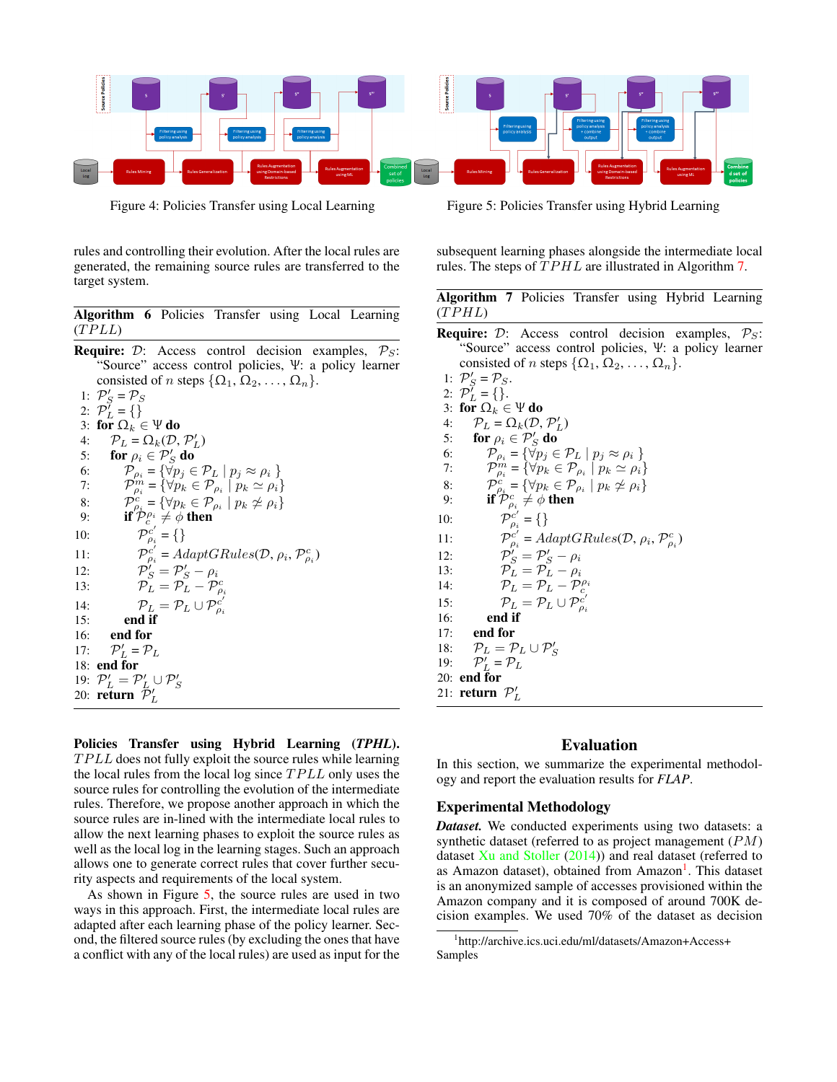<span id="page-6-1"></span>

rules and controlling their evolution. After the local rules are generated, the remaining source rules are transferred to the target system.

<span id="page-6-0"></span>Algorithm 6 Policies Transfer using Local Learning  $(TPLL)$ 

**Require:**  $D$ : Access control decision examples,  $P_S$ : "Source" access control policies, Ψ: a policy learner consisted of n steps  $\{\Omega_1, \Omega_2, \ldots, \Omega_n\}.$ 1:  $P'_{S} = P_{S}$ 2:  $\mathcal{P}_L^{\gamma} = \{\}$ 3: for  $\Omega_k \in \Psi$  do 4:  $\mathcal{P}_L = \Omega_k(\mathcal{D}, \mathcal{P}'_L)$ 5: for  $\rho_i \in \mathcal{P}'_S$  do  $_S'$  do 6:  $\mathcal{P}_{\rho_i} = {\{\forall p_j \in \mathcal{P}_L \mid p_j \approx \rho_i \}}$ 7:  $\mathcal{P}_{\rho_i}^{m} = \{ \forall p_k \in \mathcal{P}_{\rho_i} \mid p_k \simeq \rho_i \}$ 8:  $\mathcal{P}^c_{\rho_i} = {\forall p_k \in \mathcal{P}_{\rho_i} \mid p_k \not\simeq \rho_i}$ 9: if  $\mathcal{P}_c^{\rho_i} \neq \phi$  then 10:  $\overline{\mathcal{P}}_{\rho_i}^{c'} = \{\}$ 11:  $\mathcal{P}_{\rho_i}^{c'} = AdaptGRules(\mathcal{D}, \rho_i, \mathcal{P}_{\rho_i}^c)$ 12:  $\mathcal{P}'_S = \mathcal{P}'_S - \rho_i$ 13:  $\overline{\mathcal{P}_L} = \overline{\mathcal{P}_L} - \overline{\mathcal{P}}_{\rho_i}^c$ 14:  $\mathcal{P}_L = \mathcal{P}_L \cup \mathcal{P}_{\rho_i}^{c'}$ 15: end if 16: end for  $17:$  $\mathcal{D}'_L = \mathcal{P}_L$ 18: end for 19:  $\mathcal{P}'_L = \mathcal{P}'_L \cup \mathcal{P}'_S$ <br>20: **return**  $\mathcal{P}'_L$ 

Policies Transfer using Hybrid Learning (*TPHL*).  $TPLL$  does not fully exploit the source rules while learning the local rules from the local log since  $TPLL$  only uses the source rules for controlling the evolution of the intermediate rules. Therefore, we propose another approach in which the source rules are in-lined with the intermediate local rules to allow the next learning phases to exploit the source rules as well as the local log in the learning stages. Such an approach allows one to generate correct rules that cover further security aspects and requirements of the local system.

As shown in Figure [5,](#page-6-1) the source rules are used in two ways in this approach. First, the intermediate local rules are adapted after each learning phase of the policy learner. Second, the filtered source rules (by excluding the ones that have a conflict with any of the local rules) are used as input for the

Figure 4: Policies Transfer using Local Learning Figure 5: Policies Transfer using Hybrid Learning

subsequent learning phases alongside the intermediate local rules. The steps of TPHL are illustrated in Algorithm [7.](#page-6-2)

<span id="page-6-2"></span>

| Algorithm 7 Policies Transfer using Hybrid Learning |  |  |  |
|-----------------------------------------------------|--|--|--|
| (TPHL)                                              |  |  |  |

**Require:**  $D$ : Access control decision examples,  $P_S$ : "Source" access control policies, Ψ: a policy learner consisted of n steps  $\{\Omega_1, \Omega_2, \ldots, \Omega_n\}.$ 

1:  $\mathcal{P}'_S = \mathcal{P}_S$ . 2:  $\mathcal{P}_L^{\gamma} = \{\}.$ 3: for  $\Omega_k \in \Psi$  do 4:  $\mathcal{P}_L = \Omega_k(\mathcal{D}, \mathcal{P}'_L)$ 5: for  $\rho_i \in \mathcal{P}'_S$  do  $_{S}^{\prime}$  do 6:  $\mathcal{P}_{\rho_i} = {\{\forall p_j \in \mathcal{P}_L \mid p_j \approx \rho_i \}}$ 7:  $\mathcal{P}_{\rho_i}^{m} = \{ \forall p_k \in \mathcal{P}_{\rho_i} \mid p_k \simeq \rho_i \}$ 8:  $\mathcal{P}^c_{\rho_i} = {\forall p_k \in \mathcal{P}_{\rho_i} \mid p_k \not\simeq \rho_i}$ 9: if  $\mathcal{P}^c_{\rho_i} \neq \phi$  then  $10:$  $c'_{\rho_i} = \{\}$ 11:  $\mathcal{P}_{\rho_i}^{c'} = AdaptGRules(\mathcal{D}, \rho_i, \mathcal{P}_{\rho_i}^c)$ 12:  $\mathcal{P}'_S = \mathcal{P}'_S - \rho_i$ 13:  $\mathcal{P}_L = \mathcal{P}_L - \rho_i$ 14:  $\mathcal{P}_L = \mathcal{P}_L - \mathcal{P}_c^{\rho_i}$ 15:  $\mathcal{P}_L = \mathcal{P}_L \cup \mathcal{P}_{\rho_i}^{c'}$ 16: end if 17: end for 18:  $\mathcal{P}_L = \mathcal{P}_L \cup \mathcal{P}'_S$ <br>19:  $\mathcal{P}'_L = \mathcal{P}_L$  $19:$ 20: end for

## Evaluation

In this section, we summarize the experimental methodology and report the evaluation results for *FLAP*.

### Experimental Methodology

21: **return**  $\mathcal{P}'_L$ 

*Dataset.* We conducted experiments using two datasets: a synthetic dataset (referred to as project management (PM) dataset [Xu and Stoller](#page-8-2) [\(2014\)](#page-8-2)) and real dataset (referred to as Amazon dataset), obtained from Amazon<sup>[1](#page-6-3)</sup>. This dataset is an anonymized sample of accesses provisioned within the Amazon company and it is composed of around 700K decision examples. We used 70% of the dataset as decision

<span id="page-6-3"></span><sup>1</sup> [http://archive.ics.uci.edu/ml/datasets/Amazon+Access+](http://archive.ics.uci.edu/ml/datasets/Amazon+Access+Samples) [Samples](http://archive.ics.uci.edu/ml/datasets/Amazon+Access+Samples)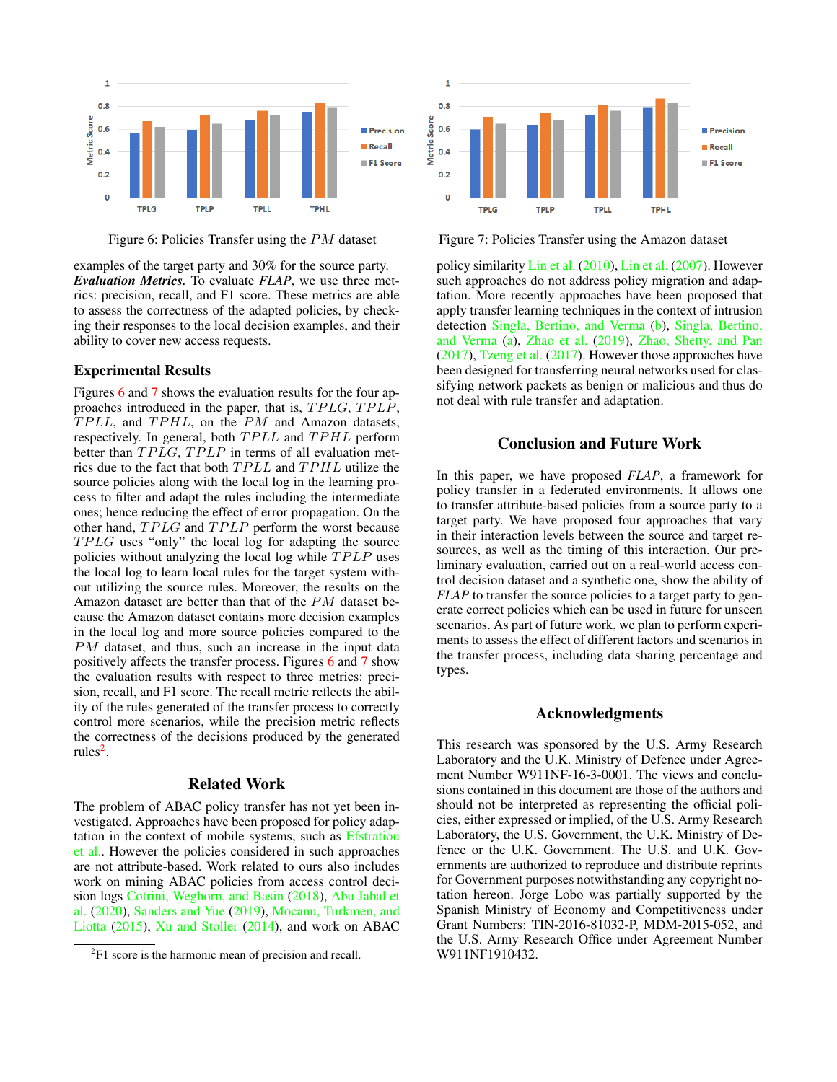<span id="page-7-0"></span>

Figure 6: Policies Transfer using the PM dataset Figure 7: Policies Transfer using the Amazon dataset

examples of the target party and 30% for the source party. *Evaluation Metrics.* To evaluate *FLAP*, we use three metrics: precision, recall, and F1 score. These metrics are able to assess the correctness of the adapted policies, by checking their responses to the local decision examples, and their ability to cover new access requests.

#### Experimental Results

Figures [6](#page-7-0) and [7](#page-7-0) shows the evaluation results for the four approaches introduced in the paper, that is,  $TPLG$ ,  $TPLP$ ,  $TPLL$ , and  $TPHL$ , on the  $PM$  and Amazon datasets, respectively. In general, both  $TPLL$  and  $TPHL$  perform better than  $TPLG$ ,  $TPLP$  in terms of all evaluation metrics due to the fact that both  $TPLL$  and  $TPHL$  utilize the source policies along with the local log in the learning process to filter and adapt the rules including the intermediate ones; hence reducing the effect of error propagation. On the other hand,  $TPLG$  and  $TPLP$  perform the worst because  $TPLG$  uses "only" the local log for adapting the source policies without analyzing the local log while  $TPLP$  uses the local log to learn local rules for the target system without utilizing the source rules. Moreover, the results on the Amazon dataset are better than that of the PM dataset because the Amazon dataset contains more decision examples in the local log and more source policies compared to the PM dataset, and thus, such an increase in the input data positively affects the transfer process. Figures [6](#page-7-0) and [7](#page-7-0) show the evaluation results with respect to three metrics: precision, recall, and F1 score. The recall metric reflects the ability of the rules generated of the transfer process to correctly control more scenarios, while the precision metric reflects the correctness of the decisions produced by the generated rules<sup>[2](#page-7-1)</sup>.

## Related Work

The problem of ABAC policy transfer has not yet been investigated. Approaches have been proposed for policy adaptation in the context of mobile systems, such as [Efstratiou](#page-8-5) [et al..](#page-8-5) However the policies considered in such approaches are not attribute-based. Work related to ours also includes work on mining ABAC policies from access control decision logs [Cotrini, Weghorn, and Basin](#page-8-3) [\(2018\)](#page-8-3), [Abu Jabal et](#page-8-1) [al.](#page-8-1) [\(2020\)](#page-8-1), [Sanders and Yue](#page-8-4) [\(2019\)](#page-8-4), [Mocanu, Turkmen, and](#page-8-6) [Liotta](#page-8-6) [\(2015\)](#page-8-6), [Xu and Stoller](#page-8-2) [\(2014\)](#page-8-2), and work on ABAC



policy similarity [Lin et al.](#page-8-7) [\(2010\)](#page-8-7), [Lin et al.](#page-8-8) [\(2007\)](#page-8-8). However such approaches do not address policy migration and adaptation. More recently approaches have been proposed that apply transfer learning techniques in the context of intrusion detection [Singla, Bertino, and Verma](#page-8-9) [\(b\)](#page-8-9), [Singla, Bertino,](#page-8-10) [and Verma](#page-8-10) [\(a\)](#page-8-10), [Zhao et al.](#page-8-11) [\(2019\)](#page-8-11), [Zhao, Shetty, and Pan](#page-8-12) [\(2017\)](#page-8-12), [Tzeng et al.](#page-8-13) [\(2017\)](#page-8-13). However those approaches have been designed for transferring neural networks used for classifying network packets as benign or malicious and thus do not deal with rule transfer and adaptation.

## Conclusion and Future Work

In this paper, we have proposed *FLAP*, a framework for policy transfer in a federated environments. It allows one to transfer attribute-based policies from a source party to a target party. We have proposed four approaches that vary in their interaction levels between the source and target resources, as well as the timing of this interaction. Our preliminary evaluation, carried out on a real-world access control decision dataset and a synthetic one, show the ability of *FLAP* to transfer the source policies to a target party to generate correct policies which can be used in future for unseen scenarios. As part of future work, we plan to perform experiments to assess the effect of different factors and scenarios in the transfer process, including data sharing percentage and types.

## Acknowledgments

This research was sponsored by the U.S. Army Research Laboratory and the U.K. Ministry of Defence under Agreement Number W911NF-16-3-0001. The views and conclusions contained in this document are those of the authors and should not be interpreted as representing the official policies, either expressed or implied, of the U.S. Army Research Laboratory, the U.S. Government, the U.K. Ministry of Defence or the U.K. Government. The U.S. and U.K. Governments are authorized to reproduce and distribute reprints for Government purposes notwithstanding any copyright notation hereon. Jorge Lobo was partially supported by the Spanish Ministry of Economy and Competitiveness under Grant Numbers: TIN-2016-81032-P, MDM-2015-052, and the U.S. Army Research Office under Agreement Number W911NF1910432.

<span id="page-7-1"></span> ${}^{2}$ F1 score is the harmonic mean of precision and recall.